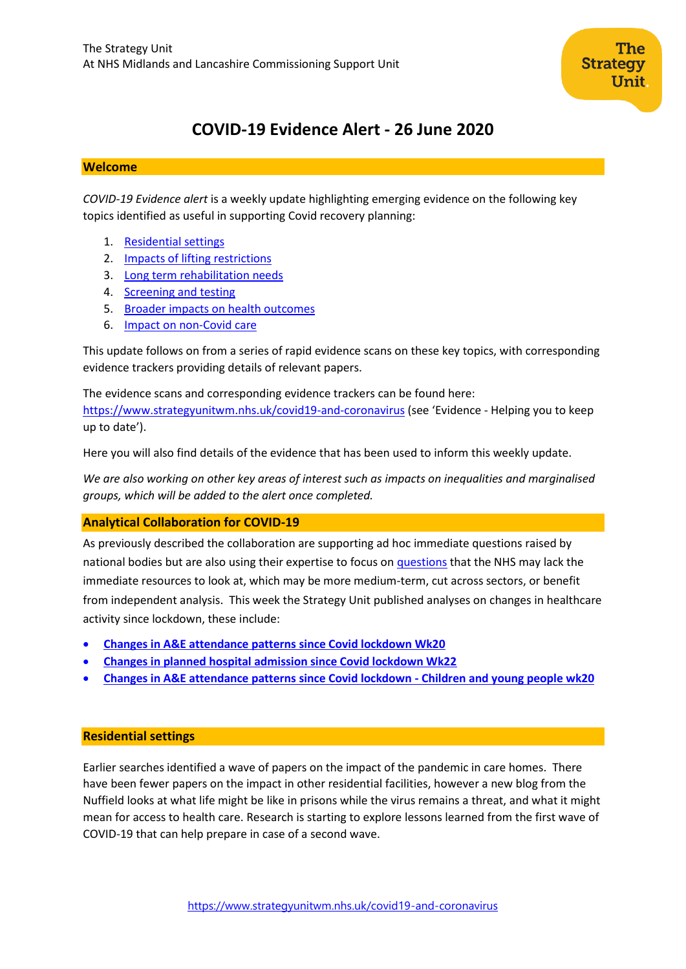# **COVID-19 Evidence Alert - 26 June 2020**

### **Welcome**

*COVID-19 Evidence alert* is a weekly update highlighting emerging evidence on the following key topics identified as useful in supporting Covid recovery planning:

- 1. [Residential settings](#page-0-0)
- 2. Impacts of lifting restrictions
- 3. Long term rehabilitation needs
- 4. [Screening and testing](#page-7-0)
- 5. [Broader impacts on health outcomes](#page-9-0)
- 6. Impact on non-Covid care

This update follows on from a series of rapid evidence scans on these key topics, with corresponding evidence trackers providing details of relevant papers.

The evidence scans and corresponding evidence trackers can be found here: <https://www.strategyunitwm.nhs.uk/covid19-and-coronavirus> (see 'Evidence - Helping you to keep up to date').

Here you will also find details of the evidence that has been used to inform this weekly update.

*We are also working on other key areas of interest such as impacts on inequalities and marginalised groups, which will be added to the alert once completed.*

# <span id="page-0-0"></span>**Analytical Collaboration for COVID-19**

As previously described the collaboration are supporting ad hoc immediate questions raised by national bodies but are also using their expertise to focus on [questions](https://www.strategyunitwm.nhs.uk/sites/default/files/2020-05/Covid%20Collaboration%20Summaries_0.pdf) that the NHS may lack the immediate resources to look at, which may be more medium-term, cut across sectors, or benefit from independent analysis. This week the Strategy Unit published analyses on changes in healthcare activity since lockdown, these include:

- **[Changes in A&E attendance patterns](https://www.strategyunitwm.nhs.uk/sites/default/files/2020-06/Changes%20in%20A%26E%20attenndance%20patterns%20since%20covid%20lockdown%20-%20week%2020%20-%20200602.pdf) since Covid lockdown Wk20**
- **[Changes in planned hospital admission since Covid lockdown Wk22](https://www.strategyunitwm.nhs.uk/sites/default/files/2020-06/Changes%20in%20planned%20hospital%20admissions%20since%20covid%20lockdown%20-%20week%2022%20-%20200612.pdf)**
- **[Changes in A&E attendance patterns since Covid lockdown -](https://www.strategyunitwm.nhs.uk/sites/default/files/2020-06/Changes%20in%20A%26E%20attenndance%20patterns%20since%20covid%20lockdown%20-%20children%20and%20young%20people%20-%20week%2020%20-%20200601.pdf) Children and young people wk20**

# **Residential settings**

Earlier searches identified a wave of papers on the impact of the pandemic in care homes. There have been fewer papers on the impact in other residential facilities, however a new blog from the Nuffield looks at what life might be like in prisons while the virus remains a threat, and what it might mean for access to health care. Research is starting to explore lessons learned from the first wave of COVID-19 that can help prepare in case of a second wave.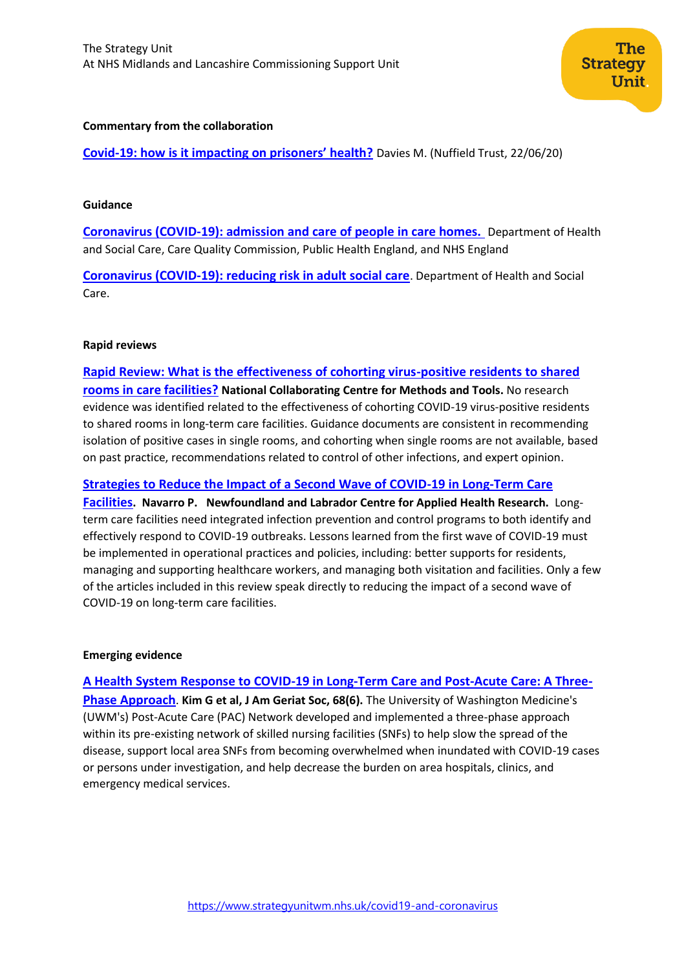

#### **Commentary from the collaboration**

**Covid-[19: how is it impacting on prisoners' health?](https://www.nuffieldtrust.org.uk/news-item/covid-19-how-is-it-impacting-on-prisoners-health)** Davies M. (Nuffield Trust, 22/06/20)

#### **Guidance**

**[Coronavirus \(COVID-19\): admission and care of people in care homes.](https://www.gov.uk/government/publications/coronavirus-covid-19-admission-and-care-of-people-in-care-homes)** Department of Health and Social Care, Care Quality Commission, Public Health England, and NHS England

**[Coronavirus \(COVID-19\): reducing risk in adult social care](https://www.gov.uk/government/publications/coronavirus-covid-19-reducing-risk-in-adult-social-care)**. Department of Health and Social Care.

#### **Rapid reviews**

**[Rapid Review: What is the effectiveness of cohorting virus-positive residents to shared](https://www.nccmt.ca/knowledge-repositories/covid-19-evidence-reviews/104)  [rooms in care facilities?](https://www.nccmt.ca/knowledge-repositories/covid-19-evidence-reviews/104) National Collaborating Centre for Methods and Tools.** No research evidence was identified related to the effectiveness of cohorting COVID-19 virus-positive residents to shared rooms in long-term care facilities. Guidance documents are consistent in recommending isolation of positive cases in single rooms, and cohorting when single rooms are not available, based on past practice, recommendations related to control of other infections, and expert opinion.

#### **[Strategies to Reduce the Impact of a Second Wave of COVID-19 in Long-Term Care](https://www.nlcahr.mun.ca/CHRSP/COVID192ndwaveLTC.pdf)**

**[Facilities](https://www.nlcahr.mun.ca/CHRSP/COVID192ndwaveLTC.pdf). Navarro P. Newfoundland and Labrador Centre for Applied Health Research.** Longterm care facilities need integrated infection prevention and control programs to both identify and effectively respond to COVID-19 outbreaks. Lessons learned from the first wave of COVID-19 must be implemented in operational practices and policies, including: better supports for residents, managing and supporting healthcare workers, and managing both visitation and facilities. Only a few of the articles included in this review speak directly to reducing the impact of a second wave of COVID-19 on long-term care facilities.

#### **Emerging evidence**

**[A Health System Response to COVID-19 in Long-Term Care and Post-Acute Care: A Three-](https://pubmed.ncbi.nlm.nih.gov/32343363/)**

**[Phase Approach](https://pubmed.ncbi.nlm.nih.gov/32343363/)**. **Kim G et al, J Am Geriat Soc, 68(6).** The University of Washington Medicine's (UWM's) Post-Acute Care (PAC) Network developed and implemented a three-phase approach within its pre-existing network of skilled nursing facilities (SNFs) to help slow the spread of the disease, support local area SNFs from becoming overwhelmed when inundated with COVID-19 cases or persons under investigation, and help decrease the burden on area hospitals, clinics, and emergency medical services.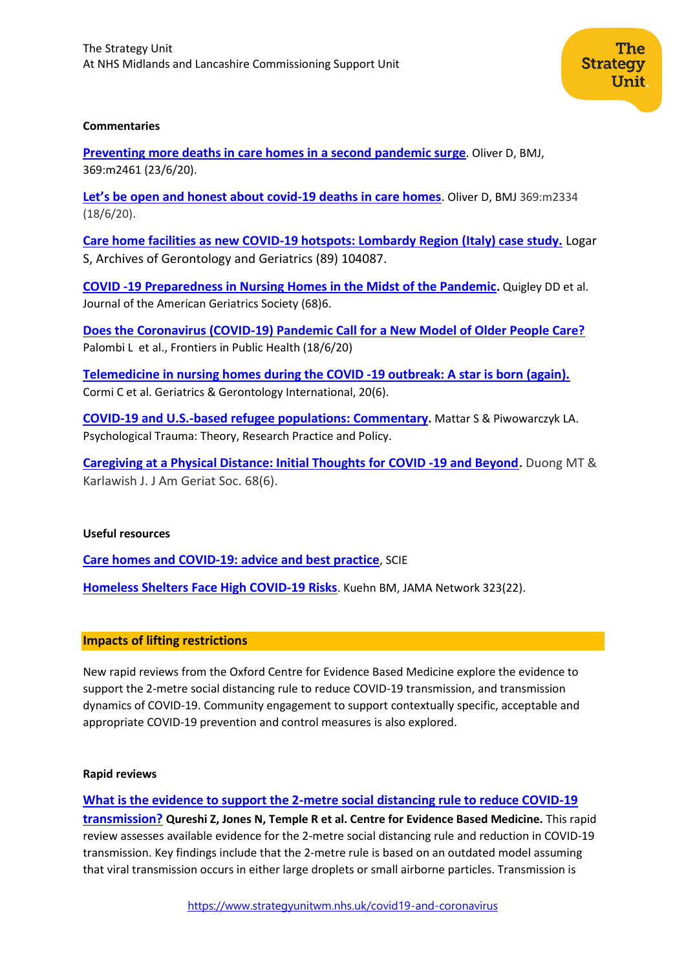#### **Commentaries**

**[Preventing more deaths in care homes in a second pandemic surge](https://www.bmj.com/content/369/bmj.m2461)**. Oliver D, BMJ, 369:m2461 (23/6/20).

**Let's be open and ho[nest about covid-19 deaths in care homes](https://www.bmj.com/content/369/bmj.m2334)**. Oliver D, BMJ 369:m2334 (18/6/20).

**[Care home facilities as new COVID-19 hotspots: Lombardy Region \(Italy\) case study.](https://www.ncbi.nlm.nih.gov/pmc/articles/PMC7189837/pdf/main.pdf)** Logar S, Archives of Gerontology and Geriatrics (89) 104087.

**[COVID ‐19 Preparedness in Nursing Homes in the Midst of the Pandemic](https://onlinelibrary.wiley.com/doi/full/10.1111/jgs.16520).** Quigley DD et al. Journal of the American Geriatrics Society (68)6.

**[Does the Coronavirus \(COVID-19\) Pandemic Call for a New Model of Older People Care?](https://www.frontiersin.org/articles/10.3389/fpubh.2020.00311/full)** Palombi L et al., Frontiers in Public Health (18/6/20)

**[Telemedicine in nursing homes during the COVID ‐19 outbreak: A star is born \(again\).](https://onlinelibrary.wiley.com/doi/full/10.1111/ggi.13934?af=R)** Cormi C et al. Geriatrics & Gerontology International, 20(6).

**[COVID-19 and U.S.-based refugee populations: Commentary](https://europepmc.org/article/med/32538665).** Mattar S & Piwowarczyk LA. Psychological Trauma: Theory, Research Practice and Policy.

**Care[giving at a Physical Distance: Initial Thoughts for COVID ‐19 and Beyond](https://onlinelibrary.wiley.com/doi/full/10.1111/jgs.16495).** Duong MT & Karlawish J. J Am Geriat Soc. 68(6).

#### **Useful resources**

**[Care homes and COVID-19: advice and best practice](https://www.scie.org.uk/care-providers/coronavirus-covid-19/care-homes)**, SCIE

**[Homeless Shelters Face High COVID-19 Risks](https://jamanetwork.com/journals/jama/fullarticle/2766884)**. Kuehn BM, JAMA Network 323(22).

#### **Impacts of lifting restrictions**

New rapid reviews from the Oxford Centre for Evidence Based Medicine explore the evidence to support the 2-metre social distancing rule to reduce COVID-19 transmission, and transmission dynamics of COVID-19. Community engagement to support contextually specific, acceptable and appropriate COVID-19 prevention and control measures is also explored.

#### **Rapid reviews**

# **[What is the evidence to support the 2-metre social distancing rule to reduce COVID-19](https://www.cebm.net/covid-19/what-is-the-evidence-to-support-the-2-metre-social-distancing-rule-to-reduce-covid-19-transmission/)  [transmission?](https://www.cebm.net/covid-19/what-is-the-evidence-to-support-the-2-metre-social-distancing-rule-to-reduce-covid-19-transmission/) Qureshi Z, Jones N, Temple R et al. Centre for Evidence Based Medicine.** This rapid review assesses available evidence for the 2-metre social distancing rule and reduction in COVID-19 transmission. Key findings include that the 2-metre rule is based on an outdated model assuming that viral transmission occurs in either large droplets or small airborne particles. Transmission is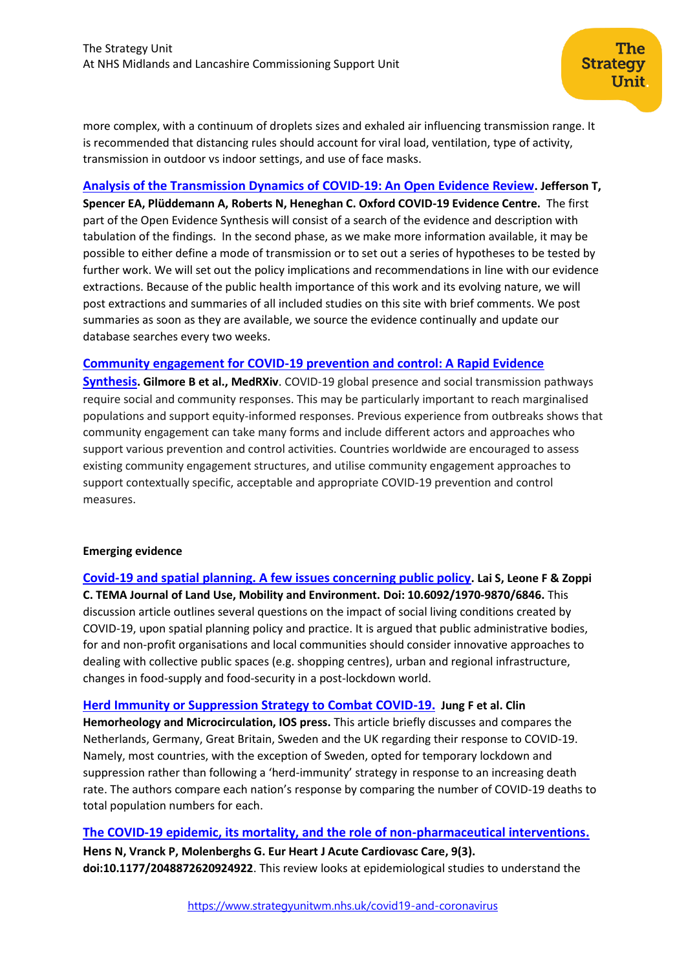more complex, with a continuum of droplets sizes and exhaled air influencing transmission range. It is recommended that distancing rules should account for viral load, ventilation, type of activity, transmission in outdoor vs indoor settings, and use of face masks.

The

Unit.

**Strategy** 

# **[Analysis of the Transmission Dynamics of](https://www.cebm.net/evidence-synthesis/transmission-dynamics-of-covid-19/) COVID-19: An Open Evidence Review. Jefferson T,**

**Spencer EA, Plüddemann A, Roberts N, Heneghan C. Oxford COVID-19 Evidence Centre.** The first part of the Open Evidence Synthesis will consist of a search of the evidence and description with tabulation of the findings. In the second phase, as we make more information available, it may be possible to either define a mode of transmission or to set out a series of hypotheses to be tested by further work. We will set out the policy implications and recommendations in line with our evidence extractions. Because of the public health importance of this work and its evolving nature, we will post extractions and summaries of all included studies on this site with brief comments. We post summaries as soon as they are available, we source the evidence continually and update our database searches every two weeks.

## **[Community engagement for COVID-19 prevention and control: A Rapid Evidence](https://www.medrxiv.org/content/10.1101/2020.06.17.20133876v1)**

**[Synthesis](https://www.medrxiv.org/content/10.1101/2020.06.17.20133876v1). Gilmore B et al., MedRXiv**. COVID-19 global presence and social transmission pathways require social and community responses. This may be particularly important to reach marginalised populations and support equity-informed responses. Previous experience from outbreaks shows that community engagement can take many forms and include different actors and approaches who support various prevention and control activities. Countries worldwide are encouraged to assess existing community engagement structures, and utilise community engagement approaches to support contextually specific, acceptable and appropriate COVID-19 prevention and control measures.

#### **Emerging evidence**

**[Covid-19 and spatial planning. A few issues concerning public policy](http://www.camerablu.unina.it/index.php/tema/article/view/6846). Lai S, Leone F & Zoppi C. TEMA Journal of Land Use, Mobility and Environment. Doi: 10.6092/1970-9870/6846.** This discussion article outlines several questions on the impact of social living conditions created by COVID-19, upon spatial planning policy and practice. It is argued that public administrative bodies, for and non-profit organisations and local communities should consider innovative approaches to dealing with collective public spaces (e.g. shopping centres), urban and regional infrastructure, changes in food-supply and food-security in a post-lockdown world.

**[Herd Immunity or Suppression Strategy to Combat COVID-19.](https://content.iospress.com/download/clinical-hemorheology-and-microcirculation/ch209006?id=clinical-hemorheology-and-microcirculation%2Fch209006) Jung F et al. Clin Hemorheology and Microcirculation, IOS press.** This article briefly discusses and compares the Netherlands, Germany, Great Britain, Sweden and the UK regarding their response to COVID-19. Namely, most countries, with the exception of Sweden, opted for temporary lockdown and suppression rather than following a 'herd-immunity' strategy in response to an increasing death rate. The authors compare each nation's response by comparing the number of COVID-19 deaths to total population numbers for each.

#### **The COVID-19 epidemic, [its mortality, and the role of non-pharmaceutical interventions.](https://journals.sagepub.com/doi/full/10.1177/2048872620924922?url_ver=Z39.88-2003&rfr_id=ori:rid:crossref.org&rfr_dat=cr_pub%20%200pubmed)**

**Hens N, Vranck P, Molenberghs G. Eur Heart J Acute Cardiovasc Care, 9(3). doi:10.1177/2048872620924922**. This review looks at epidemiological studies to understand the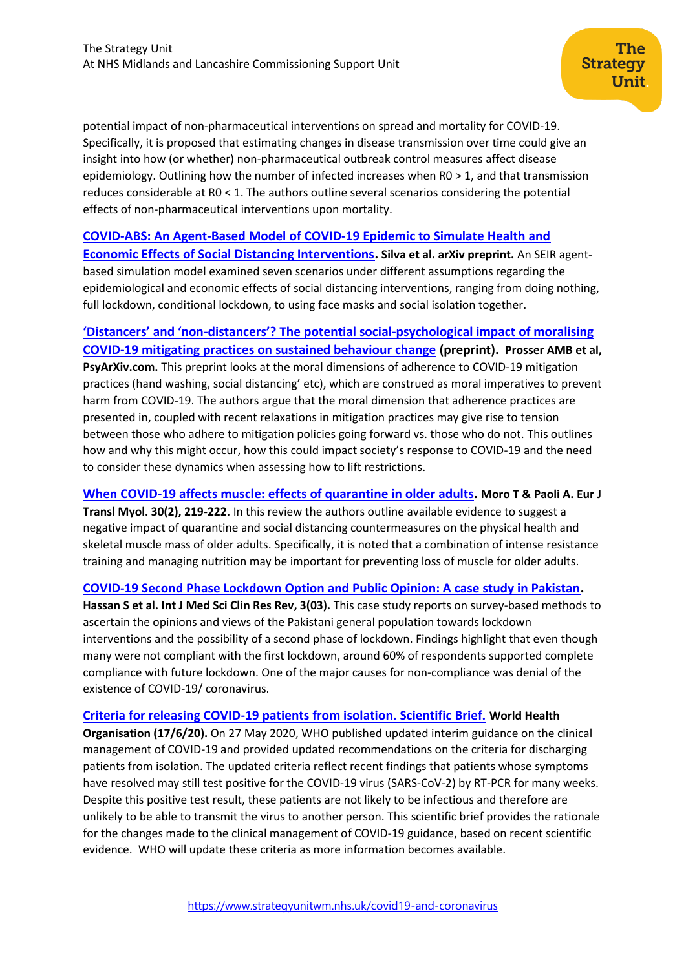potential impact of non-pharmaceutical interventions on spread and mortality for COVID-19. Specifically, it is proposed that estimating changes in disease transmission over time could give an insight into how (or whether) non-pharmaceutical outbreak control measures affect disease epidemiology. Outlining how the number of infected increases when R0 > 1, and that transmission reduces considerable at R0 < 1. The authors outline several scenarios considering the potential effects of non-pharmaceutical interventions upon mortality.

# **COVID-ABS: An Agent-Based Model [of COVID-19 Epidemic to Simulate Health and](https://arxiv.org/pdf/2006.10532.pdf)**

**[Economic Effects of Social Distancing Interventions.](https://arxiv.org/pdf/2006.10532.pdf) Silva et al. arXiv preprint.** An SEIR agentbased simulation model examined seven scenarios under different assumptions regarding the epidemiological and economic effects of social distancing interventions, ranging from doing nothing, full lockdown, conditional lockdown, to using face masks and social isolation together.

# **'Distancers' and 'non-distancers'? The pot[ential social-psychological impact of moralising](http://scholar.google.com/scholar_url?url=https://psyarxiv.com/dbkj6/download%3Fformat%3Dpdf&hl=en&sa=X&d=3092220106489844876&scisig=AAGBfm3PKZxN9fosM6AaMrelbAu2kiBB0Q&nossl=1&oi=scholaralrt&html=)  [COVID-19 mitigating practices on sustained behaviour change](http://scholar.google.com/scholar_url?url=https://psyarxiv.com/dbkj6/download%3Fformat%3Dpdf&hl=en&sa=X&d=3092220106489844876&scisig=AAGBfm3PKZxN9fosM6AaMrelbAu2kiBB0Q&nossl=1&oi=scholaralrt&html=) (preprint). Prosser AMB et al, PsyArXiv.com.** This preprint looks at the moral dimensions of adherence to COVID-19 mitigation practices (hand washing, social distancing' etc), which are construed as moral imperatives to prevent harm from COVID-19. The authors argue that the moral dimension that adherence practices are presented in, coupled with recent relaxations in mitigation practices may give rise to tension between those who adhere to mitigation policies going forward vs. those who do not. This outlines how and why this might occur, how this could impact society's response to COVID-19 and the need to consider these dynamics when assessing how to lift restrictions.

**[When COVID-19 affects muscle: effects of quarantine in older adults.](https://pagepressjournals.org/index.php/bam/article/view/9069) Moro T & Paoli A. Eur J** 

**Transl Myol. 30(2), 219-222.** In this review the authors outline available evidence to suggest a negative impact of quarantine and social distancing countermeasures on the physical health and skeletal muscle mass of older adults. Specifically, it is noted that a combination of intense resistance training and managing nutrition may be important for preventing loss of muscle for older adults.

# **[COVID-19 Second Phase Lockdown Option and Public Opinion: A case study in Pakistan.](http://ijmscrr.in/index.php/ijmscrr/article/view/95)**

**Hassan S et al. Int J Med Sci Clin Res Rev, 3(03).** This case study reports on survey-based methods to ascertain the opinions and views of the Pakistani general population towards lockdown interventions and the possibility of a second phase of lockdown. Findings highlight that even though many were not compliant with the first lockdown, around 60% of respondents supported complete compliance with future lockdown. One of the major causes for non-compliance was denial of the existence of COVID-19/ coronavirus.

**[Criteria for releasing COVID-19 patients from isolation. Scientific Brief.](https://apps.who.int/iris/bitstream/handle/10665/332451/WHO-2019-nCoV-Sci_Brief-Discharge_From_Isolation-2020.1-eng.pdf) World Health** 

**Organisation (17/6/20).** On 27 May 2020, WHO published updated interim guidance on the clinical management of COVID-19 and provided updated recommendations on the criteria for discharging patients from isolation. The updated criteria reflect recent findings that patients whose symptoms have resolved may still test positive for the COVID-19 virus (SARS-CoV-2) by RT-PCR for many weeks. Despite this positive test result, these patients are not likely to be infectious and therefore are unlikely to be able to transmit the virus to another person. This scientific brief provides the rationale for the changes made to the clinical management of COVID-19 guidance, based on recent scientific evidence. WHO will update these criteria as more information becomes available.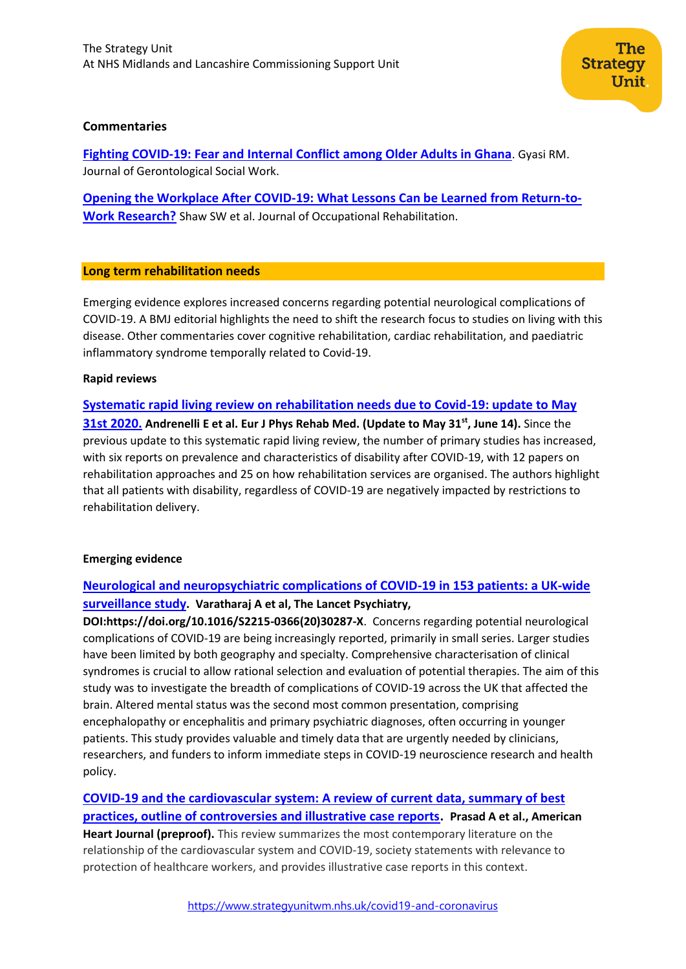# **Commentaries**

**[Fighting COVID-19: Fear and Internal Conflict among Older Adults in Ghana](https://www.tandfonline.com/doi/abs/10.1080/01634372.2020.1766630)**. Gyasi RM. Journal of Gerontological Social Work.

**[Opening the Workplace After COVID-19: What Lessons Can be Learned from Return-to-](https://link.springer.com/content/pdf/10.1007/s10926-020-09908-9.pdf)[Work Research?](https://link.springer.com/content/pdf/10.1007/s10926-020-09908-9.pdf)** Shaw SW et al. Journal of Occupational Rehabilitation.

#### **Long term rehabilitation needs**

Emerging evidence explores increased concerns regarding potential neurological complications of COVID-19. A BMJ editorial highlights the need to shift the research focus to studies on living with this disease. Other commentaries cover cognitive rehabilitation, cardiac rehabilitation, and paediatric inflammatory syndrome temporally related to Covid-19.

#### **Rapid reviews**

**[Systematic rapid living review on rehabilitation needs due to Covid-19: update to May](https://europepmc.org/article/med/32539312)  [31st 2020.](https://europepmc.org/article/med/32539312) Andrenelli E et al. Eur J Phys Rehab Med. (Update to May 31st, June 14).** Since the previous update to this systematic rapid living review, the number of primary studies has increased, with six reports on prevalence and characteristics of disability after COVID-19, with 12 papers on rehabilitation approaches and 25 on how rehabilitation services are organised. The authors highlight that all patients with disability, regardless of COVID-19 are negatively impacted by restrictions to rehabilitation delivery.

#### **Emerging evidence**

# **[Neurological and neuropsychiatric complications of COVID-19 in 153 patients: a UK-wide](https://www.thelancet.com/journals/lanpsy/article/PIIS2215-0366(20)30287-X/fulltext)  [surveillance study](https://www.thelancet.com/journals/lanpsy/article/PIIS2215-0366(20)30287-X/fulltext). Varatharaj A et al, The Lancet Psychiatry,**

**DOI[:https://doi.org/10.1016/S2215-0366\(20\)30287-X](https://doi.org/10.1016/S2215-0366(20)30287-X)**. Concerns regarding potential neurological complications of COVID-19 are being increasingly reported, primarily in small series. Larger studies have been limited by both geography and specialty. Comprehensive characterisation of clinical syndromes is crucial to allow rational selection and evaluation of potential therapies. The aim of this study was to investigate the breadth of complications of COVID-19 across the UK that affected the brain. Altered mental status was the second most common presentation, comprising encephalopathy or encephalitis and primary psychiatric diagnoses, often occurring in younger patients. This study provides valuable and timely data that are urgently needed by clinicians, researchers, and funders to inform immediate steps in COVID-19 neuroscience research and health policy.

**[COVID-19 and the cardiovascular system: A review of current data, summary of best](https://www.sciencedirect.com/science/article/pii/S0002870320301897)  [practices, outline of controversies and illustrative case reports.](https://www.sciencedirect.com/science/article/pii/S0002870320301897) Prasad A et al., American Heart Journal (preproof).** This review summarizes the most contemporary literature on the relationship of the cardiovascular system and COVID-19, society statements with relevance to protection of healthcare workers, and provides illustrative case reports in this context.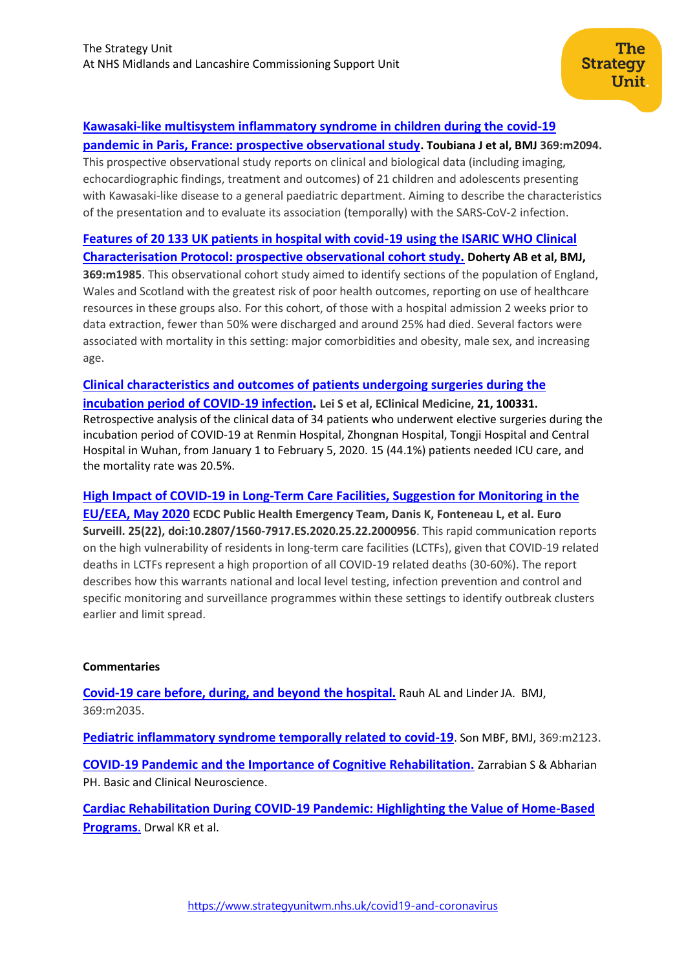# **[Kawasaki-like multisystem inflammatory syndrome in children during the](https://www.bmj.com/content/369/bmj.m2094) covid-19**

**[pandemic in Paris, France: prospective observational study](https://www.bmj.com/content/369/bmj.m2094). Toubiana J et al, BMJ 369:m2094.**  This prospective observational study reports on clinical and biological data (including imaging, echocardiographic findings, treatment and outcomes) of 21 children and adolescents presenting with Kawasaki-like disease to a general paediatric department. Aiming to describe the characteristics of the presentation and to evaluate its association (temporally) with the SARS-CoV-2 infection.

**[Features of 20 133 UK patients in hospital with covid](https://www.bmj.com/content/369/bmj.m1985)-19 using the ISARIC WHO Clinical [Characterisation Protocol: prospective observational cohort study.](https://www.bmj.com/content/369/bmj.m1985) Doherty AB et al, BMJ, 369:m1985**. This observational cohort study aimed to identify sections of the population of England, Wales and Scotland with the greatest risk of poor health outcomes, reporting on use of healthcare resources in these groups also. For this cohort, of those with a hospital admission 2 weeks prior to data extraction, fewer than 50% were discharged and around 25% had died. Several factors were associated with mortality in this setting: major comorbidities and obesity, male sex, and increasing age.

**Clinical [characteristics](https://www.thelancet.com/journals/eclinm/article/PIIS2589-5370%2820%2930075-4/fulltext) and outcomes of patients undergoing surgeries during the [incubation](https://www.thelancet.com/journals/eclinm/article/PIIS2589-5370%2820%2930075-4/fulltext) period of COVID-19 infection. Lei S et al, EClinical Medicine, [21,](https://www.thelancet.com/journals/eclinm/issue/vol21nonull/PIIS2589-5370(20)X0004-6) 100331.** Retrospective analysis of the clinical data of 34 patients who underwent elective surgeries during the incubation period of COVID-19 at Renmin Hospital, Zhongnan Hospital, Tongji Hospital and Central Hospital in Wuhan, from January 1 to February 5, 2020. 15 (44.1%) patients needed ICU care, and the mortality rate was 20.5%.

**[High Impact of COVID-19 in Long-Term Care Facilities, Suggestion for Monitoring in the](https://www.eurosurveillance.org/content/10.2807/1560-7917.ES.2020.25.22.2000956#html_fulltext)  [EU/EEA, May 2020](https://www.eurosurveillance.org/content/10.2807/1560-7917.ES.2020.25.22.2000956#html_fulltext) ECDC Public Health Emergency Team, Danis K, Fonteneau L, et al. Euro Surveill. 25(22), doi:10.2807/1560-7917.ES.2020.25.22.2000956**. This rapid communication reports on the high vulnerability of residents in long-term care facilities (LCTFs), given that COVID-19 related deaths in LCTFs represent a high proportion of all COVID-19 related deaths (30-60%). The report describes how this warrants national and local level testing, infection prevention and control and specific monitoring and surveillance programmes within these settings to identify outbreak clusters earlier and limit spread.

#### **Commentaries**

**[Covid-19 care before, during, and beyond](https://www.bmj.com/content/369/bmj.m2035) the hospital.** Rauh AL and Linder JA. BMJ, 369:m2035.

**[Pediatric inflammatory syndrome temporally related to covid-19](https://www.bmj.com/content/369/bmj.m2123)**. Son MBF, BMJ, 369:m2123.

**[COVID-19 Pandemic and the Importance of Cognitive Rehabilitation.](https://d1wqtxts1xzle7.cloudfront.net/63671108/120200618-21668-kf1ylh.pdf?1592502603=&response-content-disposition=inline%3B+filename%3DCommentary_COVID-19_Pandemic_and_the_Imp.pdf&Expires=1593007031&Signature=U-H0-DAEDGRaER0LiqlD6aq1IbF2Vz8MbYp2jiDJ7~gusgyHQcoqs3nDKhXmzeCmH0ntZc4Ja3~ufZJfTSwXCXoE~pxZjAnJBl82B3~-pYyDawRyP9ukvNzIDSGJSAdgCoDlkzLqvZmbSs~v2QV7JQvLOjdfyEYwmy19sx-ysFbhloywUED9P5PsoQB3kGNb1g6zc2VLACmBSCttH5UCGNCw4OlKnRqCqXDHvjR5aOaIMhb8LdqbiDjj3MmDsciCOPZJ4k0zzGIv31Ab4qpoY2aGTZ1XVPbGyDpoS-x33HGqHxSPVCRpVrq834BI982fIXKtPJoPEGrl-aXqxiZ5Hw__&Key-Pair-Id=APKAJLOHF5GGSLRBV4ZA)** Zarrabian S & Abharian PH. Basic and Clinical Neuroscience.

**[Cardiac Rehabilitation During COVID-19 Pandemic: Highlighting the Value of Home-Based](https://www.liebertpub.com/doi/pdfplus/10.1089/tmj.2020.0213)  [Programs](https://www.liebertpub.com/doi/pdfplus/10.1089/tmj.2020.0213)**. Drwal KR et al.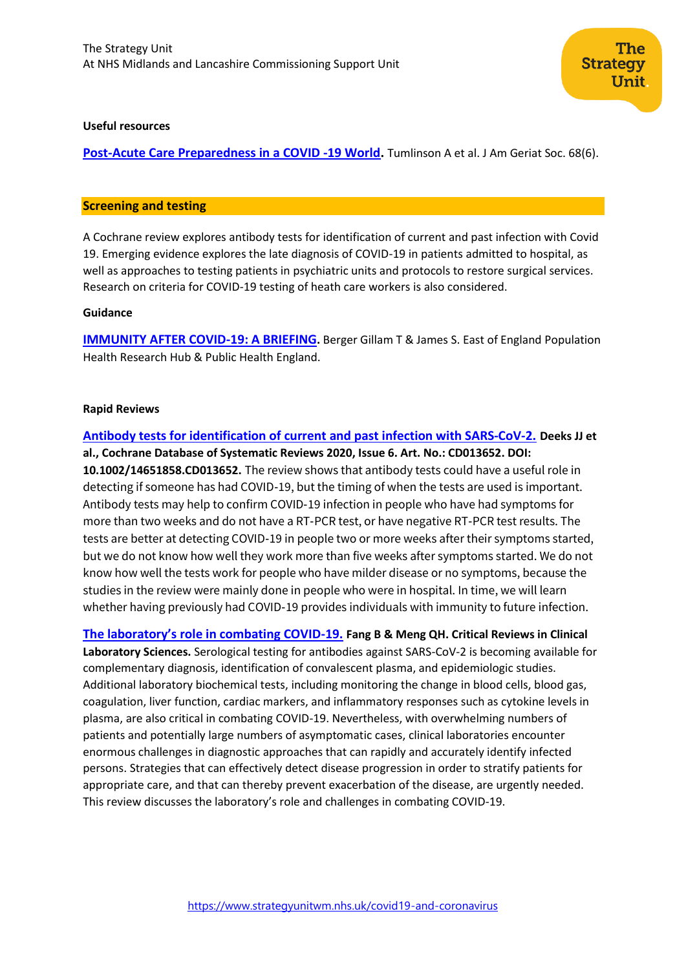#### **Useful resources**

**Post-Acute Care Preparedness in a COVID -19 World.** Tumlinson A et al. J Am Geriat Soc. 68(6).

#### <span id="page-7-0"></span>**Screening and testing**

A Cochrane review explores antibody tests for identification of current and past infection with Covid 19. Emerging evidence explores the late diagnosis of COVID-19 in patients admitted to hospital, as well as approaches to testing patients in psychiatric units and protocols to restore surgical services. Research on criteria for COVID-19 testing of heath care workers is also considered.

#### **Guidance**

**[IMMUNITY AFTER COVID-19: A BRIEFING](https://adph.org.uk/networks/eastofengland/wp-content/uploads/2020/05/Immunity-After-Covid19-270520.pdf).** Berger Gillam T & James S. East of England Population Health Research Hub & Public Health England.

#### **Rapid Reviews**

**[Antibody tests for identification of current and past infection with SARS‐CoV‐2.](https://www.cochranelibrary.com/cdsr/doi/10.1002/14651858.CD013652/full) Deeks JJ et al., Cochrane Database of Systematic Reviews 2020, Issue 6. Art. No.: CD013652. DOI: 10.1002/14651858.CD013652.** The review shows that antibody tests could have a useful role in detecting if someone has had COVID‐19, but the timing of when the tests are used is important. Antibody tests may help to confirm COVID‐19 infection in people who have had symptoms for more than two weeks and do not have a RT‐PCR test, or have negative RT‐PCR test results. The tests are better at detecting COVID‐19 in people two or more weeks after their symptoms started, but we do not know how well they work more than five weeks after symptoms started. We do not know how well the tests work for people who have milder disease or no symptoms, because the studies in the review were mainly done in people who were in hospital. In time, we will learn whether having previously had COVID‐19 provides individuals with immunity to future infection.

**[The laboratory's role in combating COVID](https://www.tandfonline.com/doi/full/10.1080/10408363.2020.1776675)-19. Fang B & Meng QH. Critical Reviews in Clinical Laboratory Sciences.** Serological testing for antibodies against SARS-CoV-2 is becoming available for complementary diagnosis, identification of convalescent plasma, and epidemiologic studies. Additional laboratory biochemical tests, including monitoring the change in blood cells, blood gas, coagulation, liver function, cardiac markers, and inflammatory responses such as cytokine levels in plasma, are also critical in combating COVID-19. Nevertheless, with overwhelming numbers of patients and potentially large numbers of asymptomatic cases, clinical laboratories encounter enormous challenges in diagnostic approaches that can rapidly and accurately identify infected persons. Strategies that can effectively detect disease progression in order to stratify patients for appropriate care, and that can thereby prevent exacerbation of the disease, are urgently needed. This review discusses the laboratory's role and challenges in combating COVID-19.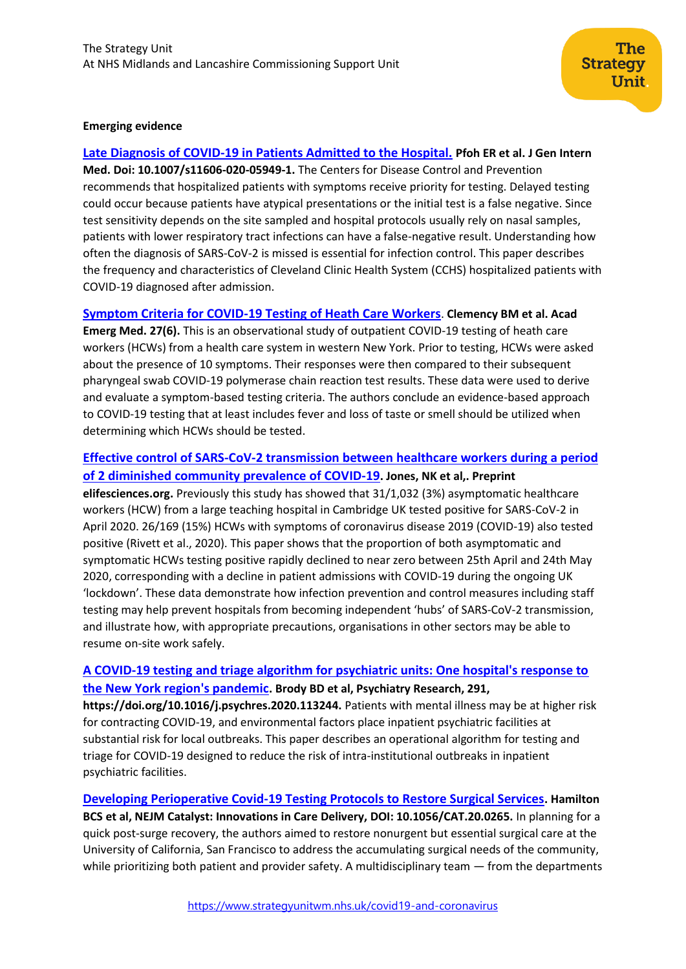### **Emerging evidence**

**[Late Diagnosis of COVID-19 in Patients Admitted to the Hospital.](https://link.springer.com/article/10.1007/s11606-020-05949-1#citeas) Pfoh ER et al. J Gen Intern Med. Doi: 10.1007/s11606-020-05949-1.** The Centers for Disease Control and Prevention recommends that hospitalized patients with symptoms receive priority for testing. Delayed testing could occur because patients have atypical presentations or the initial test is a false negative. Since test sensitivity depends on the site sampled and hospital protocols usually rely on nasal samples, patients with lower respiratory tract infections can have a false-negative result. Understanding how often the diagnosis of SARS-CoV-2 is missed is essential for infection control. This paper describes the frequency and characteristics of Cleveland Clinic Health System (CCHS) hospitalized patients with COVID-19 diagnosed after admission.

# **[Symptom Criteria for COVID-19 Testing of Heath Care Workers](https://pubmed.ncbi.nlm.nih.gov/32396670/)**. **Clemency BM et al. Acad**

**Emerg Med. 27(6).** This is an observational study of outpatient COVID-19 testing of heath care workers (HCWs) from a health care system in western New York. Prior to testing, HCWs were asked about the presence of 10 symptoms. Their responses were then compared to their subsequent pharyngeal swab COVID-19 polymerase chain reaction test results. These data were used to derive and evaluate a symptom-based testing criteria. The authors conclude an evidence-based approach to COVID-19 testing that at least includes fever and loss of taste or smell should be utilized when determining which HCWs should be tested.

# **[Effective control of SARS-CoV-2 transmission between healthcare workers during a period](https://elifesciences.org/articles/59391.pdf)  [of 2 diminished community prevalence of COVID-19](https://elifesciences.org/articles/59391.pdf). Jones, NK et al,. Preprint**

**elifesciences.org.** Previously this study has showed that 31/1,032 (3%) asymptomatic healthcare workers (HCW) from a large teaching hospital in Cambridge UK tested positive for SARS-CoV-2 in April 2020. 26/169 (15%) HCWs with symptoms of coronavirus disease 2019 (COVID-19) also tested positive (Rivett et al., 2020). This paper shows that the proportion of both asymptomatic and symptomatic HCWs testing positive rapidly declined to near zero between 25th April and 24th May 2020, corresponding with a decline in patient admissions with COVID-19 during the ongoing UK 'lockdown'. These data demonstrate how infection prevention and control measures including staff testing may help prevent hospitals from becoming independent 'hubs' of SARS-CoV-2 transmission, and illustrate how, with appropriate precautions, organisations in other sectors may be able to resume on-site work safely.

# **A COVID-19 testing [and triage algorithm for psychiatric units: One hospital's response to](https://www.sciencedirect.com/science/article/pii/S0165178120317789)  [the New York region's pandemic](https://www.sciencedirect.com/science/article/pii/S0165178120317789). Brody BD et al, Psychiatry Research, 291,**

**https://doi.org/10.1016/j.psychres.2020.113244.** Patients with mental illness may be at higher risk for contracting COVID-19, and environmental factors place inpatient psychiatric facilities at substantial risk for local outbreaks. This paper describes an operational algorithm for testing and triage for COVID-19 designed to reduce the risk of intra-institutional outbreaks in inpatient psychiatric facilities.

# **[Developing Perioperative Covid-19 Testing Protocols to Restore Surgical Services](https://catalyst.nejm.org/doi/pdf/10.1056/CAT.20.0265). Hamilton BCS et al, NEJM Catalyst: Innovations in Care Delivery, DOI: 10.1056/CAT.20.0265.** In planning for a quick post-surge recovery, the authors aimed to restore nonurgent but essential surgical care at the University of California, San Francisco to address the accumulating surgical needs of the community, while prioritizing both patient and provider safety. A multidisciplinary team — from the departments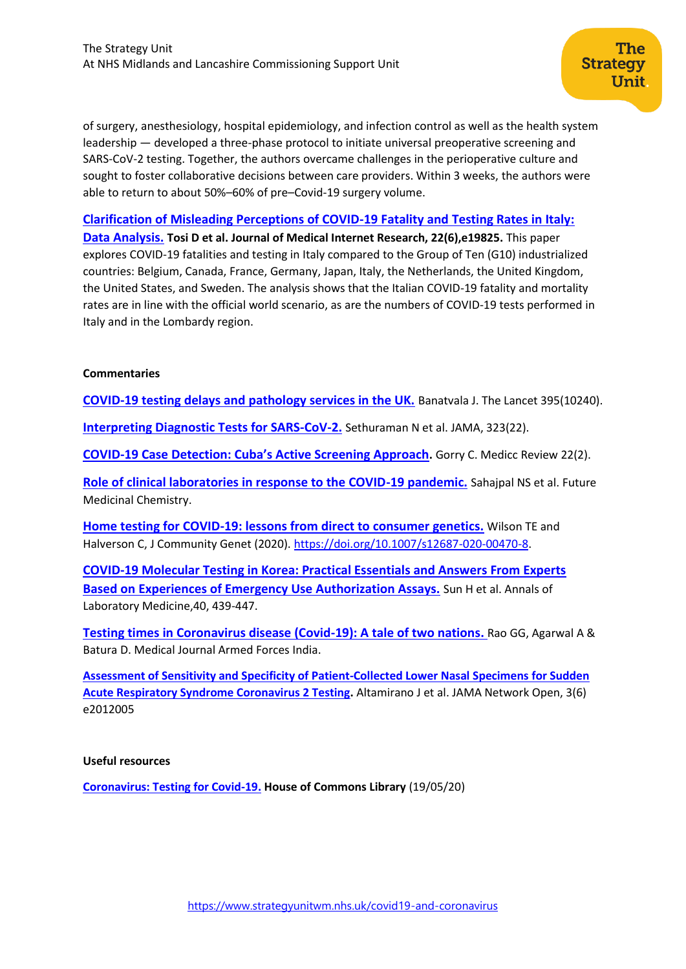of surgery, anesthesiology, hospital epidemiology, and infection control as well as the health system leadership — developed a three-phase protocol to initiate universal preoperative screening and SARS-CoV-2 testing. Together, the authors overcame challenges in the perioperative culture and sought to foster collaborative decisions between care providers. Within 3 weeks, the authors were able to return to about 50%–60% of pre–Covid-19 surgery volume.

#### **[Clarification of Misleading Perceptions of COVID-19 Fatality and Testing Rates in Italy:](https://www.jmir.org/2020/6/e19825/pdf)**

**[Data Analysis.](https://www.jmir.org/2020/6/e19825/pdf) Tosi D et al. Journal of Medical Internet Research, 22(6),e19825.** This paper explores COVID-19 fatalities and testing in Italy compared to the Group of Ten (G10) industrialized countries: Belgium, Canada, France, Germany, Japan, Italy, the Netherlands, the United Kingdom, the United States, and Sweden. The analysis shows that the Italian COVID-19 fatality and mortality rates are in line with the official world scenario, as are the numbers of COVID-19 tests performed in Italy and in the Lombardy region.

#### **Commentaries**

**[COVID-19 testing delays and pathology services in the UK.](https://www.ncbi.nlm.nih.gov/pmc/articles/PMC7255215/)** Banatvala J. The Lancet 395(10240).

**[Interpreting Diagnostic Tests for SARS-CoV-2.](https://jamanetwork.com/journals/jama/fullarticle/2765837)** Sethuraman N et al. JAMA, 323(22).

**COVID-[19 Case Detection: Cuba's Active Screening Approach](https://pubmed.ncbi.nlm.nih.gov/32478711/).** Gorry C. Medicc Review 22(2).

**[Role of clinical laboratories in response to the COVID-19 pandemic.](https://www.future-science.com/doi/pdf/10.4155/fmc-2020-0129)** Sahajpal NS et al. Future Medicinal Chemistry.

**[Home testing for COVID-19: lessons from direct to consumer genetics.](https://link.springer.com/article/10.1007/s12687-020-00470-8)** Wilson TE and Halverson C, J Community Genet (2020). [https://doi.org/10.1007/s12687-020-00470-8.](https://doi.org/10.1007/s12687-020-00470-8)

**[COVID-19 Molecular Testing in Korea: Practical Essentials and Answers From Experts](https://www.researchgate.net/profile/Heungsup_Sung/publication/342200526_Guidelines_Clinical_Microbiology_COVID-19_Molecular_Testing_in_Korea_Practical_Essentials_and_Answers_From_Experts_Based_on_Experiences_of_Emergency_Use_Authorization_Assays/links/5ee885aa92851ce9e7e7df29/Guidelines-Clinical-Microbiology-COVID-19-Molecular-Testing-in-Korea-Practical-Essentials-and-Answers-From-Experts-Based-on-Experiences-of-Emergency-Use-Authorization-Assays.pdf)  [Based on Experiences of Emergency Use Authorization Assays.](https://www.researchgate.net/profile/Heungsup_Sung/publication/342200526_Guidelines_Clinical_Microbiology_COVID-19_Molecular_Testing_in_Korea_Practical_Essentials_and_Answers_From_Experts_Based_on_Experiences_of_Emergency_Use_Authorization_Assays/links/5ee885aa92851ce9e7e7df29/Guidelines-Clinical-Microbiology-COVID-19-Molecular-Testing-in-Korea-Practical-Essentials-and-Answers-From-Experts-Based-on-Experiences-of-Emergency-Use-Authorization-Assays.pdf)** Sun H et al. Annals of Laboratory Medicine,40, 439-447.

**[Testing times in Coronavirus disease \(Covid-19\): A tale of two nations.](https://www.ncbi.nlm.nih.gov/pmc/articles/PMC7293884/)** Rao GG, Agarwal A & Batura D. Medical Journal Armed Forces India.

**[Assessment of Sensitivity and Specificity of Patient-Collected Lower Nasal Specimens for Sudden](https://jamanetwork.com/journals/jamanetworkopen/fullarticle/2767065)  [Acute Respiratory Syndrome Coronavirus 2 Testing.](https://jamanetwork.com/journals/jamanetworkopen/fullarticle/2767065)** Altamirano J et al. JAMA Network Open, 3(6) e2012005

#### **Useful resources**

<span id="page-9-0"></span>**[Coronavirus: Testing for Covid-19.](https://commonslibrary.parliament.uk/research-briefings/cbp-8897/) House of Commons Library** (19/05/20)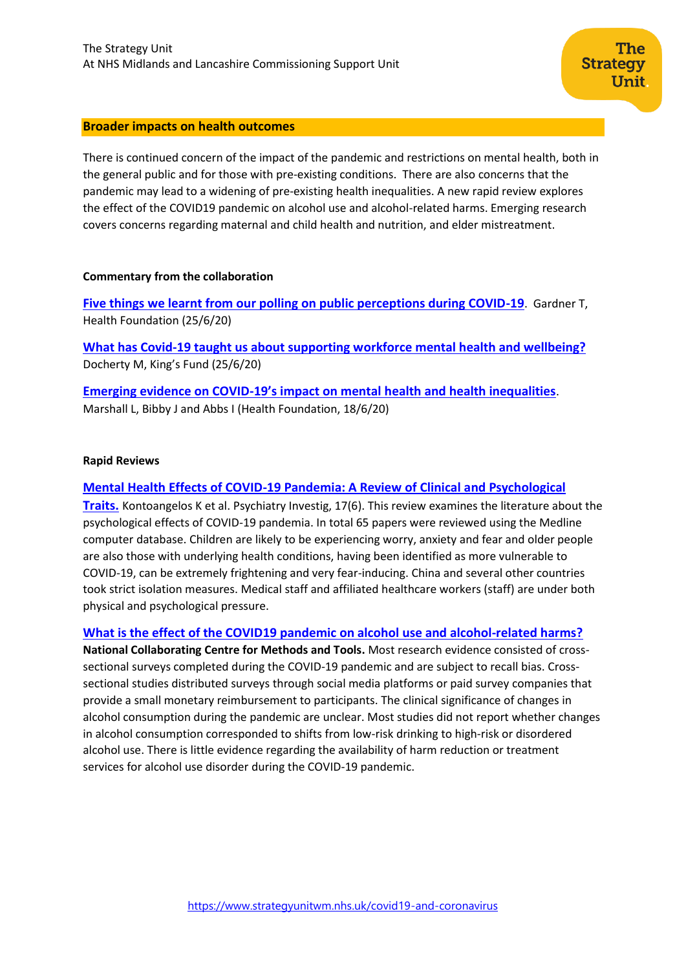#### **Broader impacts on health outcomes**

There is continued concern of the impact of the pandemic and restrictions on mental health, both in the general public and for those with pre-existing conditions. There are also concerns that the pandemic may lead to a widening of pre-existing health inequalities. A new rapid review explores the effect of the COVID19 pandemic on alcohol use and alcohol-related harms. Emerging research covers concerns regarding maternal and child health and nutrition, and elder mistreatment.

#### **Commentary from the collaboration**

**[Five things we learnt from our polling on public perceptions during COVID-19](https://www.health.org.uk/news-and-comment/charts-and-infographics/five-things-we-learnt-from-our-polling-on-public-perceptions)**. Gardner T, Health Foundation (25/6/20)

**[What has Covid-19 taught us about supporting workforce mental health and wellbeing?](https://www.kingsfund.org.uk/blog/2020/06/covid-19-supporting-workforce-mental-health)** Docherty M, King's Fund (25/6/20)

**[Emerging evidence on COVID-](https://www.health.org.uk/news-and-comment/blogs/emerging-evidence-on-covid-19s-impact-on-mental-health-and-health)19's impact on mental health and health inequalities**. Marshall L, Bibby J and Abbs I (Health Foundation, 18/6/20)

#### **Rapid Reviews**

### **[Mental Health Effects of COVID-19 Pandemia: A Review of Clinical and Psychological](https://www.psychiatryinvestigation.org/upload/pdf/pi-2020-0161.pdf)**

**[Traits.](https://www.psychiatryinvestigation.org/upload/pdf/pi-2020-0161.pdf)** Kontoangelos K et al. Psychiatry Investig, 17(6). This review examines the literature about the psychological effects of COVID-19 pandemia. In total 65 papers were reviewed using the Medline computer database. Children are likely to be experiencing worry, anxiety and fear and older people are also those with underlying health conditions, having been identified as more vulnerable to COVID-19, can be extremely frightening and very fear-inducing. China and several other countries took strict isolation measures. Medical staff and affiliated healthcare workers (staff) are under both physical and psychological pressure.

#### **[What is the effect of the COVID19 pandemic on alcohol use and alcohol-related harms?](https://www.nccmt.ca/knowledge-repositories/covid-19-evidence-reviews/112)**

**National Collaborating Centre for Methods and Tools.** Most research evidence consisted of crosssectional surveys completed during the COVID-19 pandemic and are subject to recall bias. Crosssectional studies distributed surveys through social media platforms or paid survey companies that provide a small monetary reimbursement to participants. The clinical significance of changes in alcohol consumption during the pandemic are unclear. Most studies did not report whether changes in alcohol consumption corresponded to shifts from low-risk drinking to high-risk or disordered alcohol use. There is little evidence regarding the availability of harm reduction or treatment services for alcohol use disorder during the COVID-19 pandemic.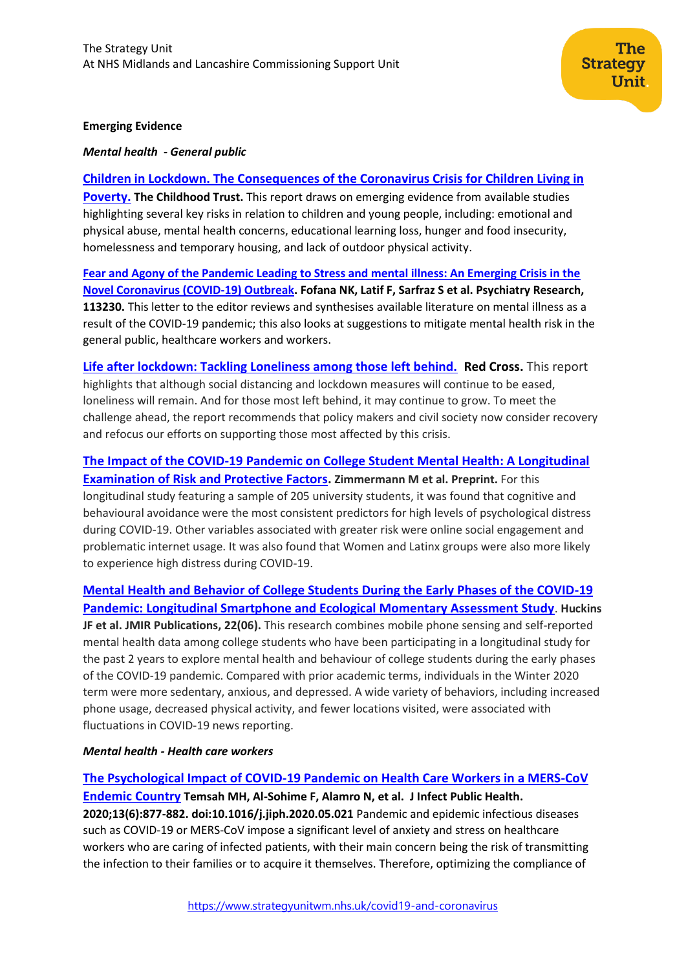#### **Emerging Evidence**

#### *Mental health - General public*

**[Children in Lockdown. The Consequences of the Coronavirus Crisis for Children Living in](https://view.publitas.com/the-childhood-trust/children-in-lockdown-the-childhood-trust-report-june-2020/page/2-3)  [Poverty.](https://view.publitas.com/the-childhood-trust/children-in-lockdown-the-childhood-trust-report-june-2020/page/2-3) The Childhood Trust.** This report draws on emerging evidence from available studies highlighting several key risks in relation to children and young people, including: emotional and physical abuse, mental health concerns, educational learning loss, hunger and food insecurity, homelessness and temporary housing, and lack of outdoor physical activity.

**[Fear and Agony of the Pandemic Leading to Stress and mental illness: An Emerging Crisis in the](https://www.sciencedirect.com/science/article/pii/S0165178120310970)  [Novel Coronavirus \(COVID-19\) Outbreak.](https://www.sciencedirect.com/science/article/pii/S0165178120310970) Fofana NK, Latif F, Sarfraz S et al. Psychiatry Research, 113230.** This letter to the editor reviews and synthesises available literature on mental illness as a result of the COVID-19 pandemic; this also looks at suggestions to mitigate mental health risk in the general public, healthcare workers and workers.

**[Life after lockdown: Tackling Loneliness among those left behind.](https://www.redcross.org.uk/about-us/what-we-do/we-speak-up-for-change/life-after-lockdown-tackling-loneliness) Red Cross.** This report highlights that although social distancing and lockdown measures will continue to be eased, loneliness will remain. And for those most left behind, it may continue to grow. To meet the challenge ahead, the report recommends that policy makers and civil society now consider recovery and refocus our efforts on supporting those most affected by this crisis.

**[The Impact of the COVID-19 Pandemic on College Student Mental Health: A Longitudinal](https://www.researchgate.net/publication/342248223_The_Impact_of_the_COVID-19_Pandemic_on_College_Student_Mental_Health_A_Longitudinal_Examination_of_Risk_and_Protective_Factors)  Examination [of Risk and Protective Factors.](https://www.researchgate.net/publication/342248223_The_Impact_of_the_COVID-19_Pandemic_on_College_Student_Mental_Health_A_Longitudinal_Examination_of_Risk_and_Protective_Factors) Zimmermann M et al. Preprint.** For this longitudinal study featuring a sample of 205 university students, it was found that cognitive and behavioural avoidance were the most consistent predictors for high levels of psychological distress during COVID-19. Other variables associated with greater risk were online social engagement and problematic internet usage. It was also found that Women and Latinx groups were also more likely to experience high distress during COVID-19.

**[Mental Health and Behavior of College Students During the Early Phases of the COVID-19](https://www.jmir.org/2020/6/e20185/)  [Pandemic: Longitudinal Smartphone and Ecological Momentary Assessment Study](https://www.jmir.org/2020/6/e20185/)**. **Huckins JF et al. JMIR Publications, 22(06).** This research combines mobile phone sensing and self-reported mental health data among college students who have been participating in a longitudinal study for the past 2 years to explore mental health and behaviour of college students during the early phases of the COVID-19 pandemic. Compared with prior academic terms, individuals in the Winter 2020 term were more sedentary, anxious, and depressed. A wide variety of behaviors, including increased phone usage, decreased physical activity, and fewer locations visited, were associated with fluctuations in COVID-19 news reporting.

#### *Mental health - Health care workers*

#### **[The Psychological Impact of COVID-19 Pandemic on Health Care Workers in a MERS-CoV](https://www.sciencedirect.com/science/article/pii/S1876034120304871?via%3Dihub)**

**[Endemic Country](https://www.sciencedirect.com/science/article/pii/S1876034120304871?via%3Dihub) Temsah MH, Al-Sohime F, Alamro N, et al. J Infect Public Health. 2020;13(6):877-882. doi:10.1016/j.jiph.2020.05.021** Pandemic and epidemic infectious diseases such as COVID-19 or MERS-CoV impose a significant level of anxiety and stress on healthcare workers who are caring of infected patients, with their main concern being the risk of transmitting the infection to their families or to acquire it themselves. Therefore, optimizing the compliance of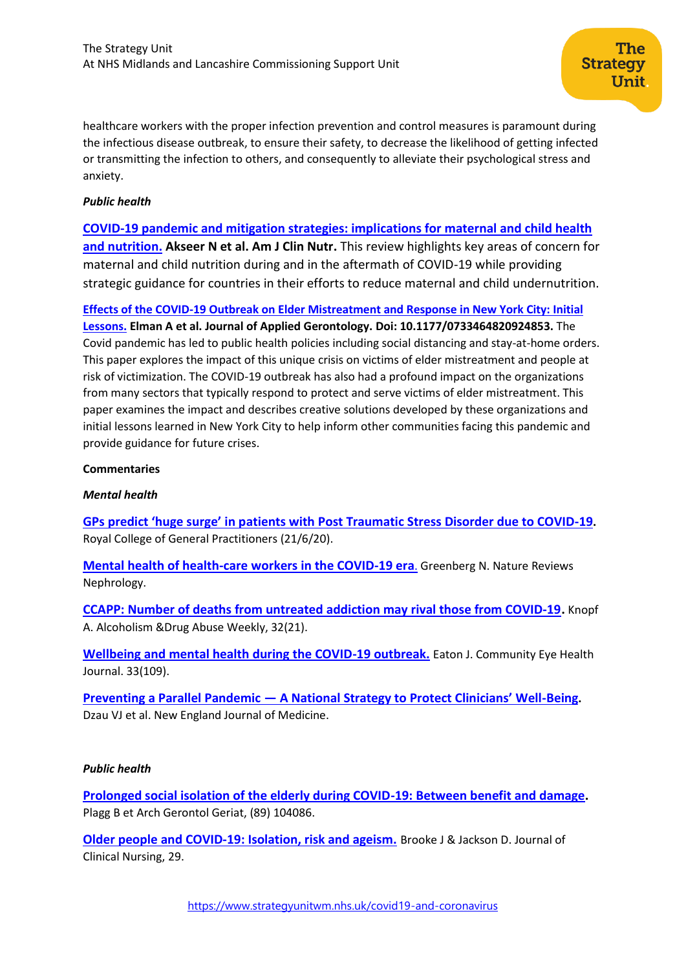healthcare workers with the proper infection prevention and control measures is paramount during the infectious disease outbreak, to ensure their safety, to decrease the likelihood of getting infected or transmitting the infection to others, and consequently to alleviate their psychological stress and anxiety.

### *Public health*

**[COVID-19 pandemic and mitigation strategies: implications for](https://watermark.silverchair.com/nqaa171.pdf?token=AQECAHi208BE49Ooan9kkhW_Ercy7Dm3ZL_9Cf3qfKAc485ysgAAAqcwggKjBgkqhkiG9w0BBwagggKUMIICkAIBADCCAokGCSqGSIb3DQEHATAeBglghkgBZQMEAS4wEQQMj9emMK-CPdFSXOhGAgEQgIICWpyR08YgtwNie-oxV25G4W_ZkYHveELMIzSZp44H_HIfg0HNEUNgYLI7u39nk2EKLuFZbz18jGqAbZArDclhCZupTY5_dcPzEzDESzWO9lpBz_QCDM6JlaYQ8pOZZnppQtiI6usBazD9VvrYMimc5eYfFETbM3TLBXZEyYlBK02eWZzQ8cc8ji5dDBc4z5dwAEHLtyKhjyaoT68RTKOQj6wRp0zaoZXQedejFK_2qccAGqc8nVoT1stAM_VNubNPqb_hPPEVXyNPbCYx99SGGcvhxIPDhleoCKSrjMVm-oi1KK-YjVc29_dJGroKLgLc8NifBaDNhJurG1MPDX_l-BjfhRb8-0RD_Py_8h-c6ctBGo2wtnJd0dExFaghdU9ykaoo6LO3Rfag09ROAfm6JOXkKNbzxHFy9HlH9nBX35D2xI8iWYRokWV2Zb3dIEMPYMUfFK-NYHP-Tx80mC94PphNUV_ErsfqKo17uYYKhlkbaAYPOEfPTZ79gjzZQ_9Kbi_C97bRHYakkRy1wGFNolbcaqiaYnfoc1jZGz2SjT0tnAlE0OupZ5vIq2jBUp4FHisALGWTC70HTZ8ScI_Lt0-FCVx5mplLGJhUJekrvXEbH8CuebsozhSnRh1TUVvLbI54QMKkiV1otzm1tkw8Ly3hy1eFWENihgVaKcuryIvuBFoVKOAZxSUnO3ieajjs3pTZtrwmqBeB4kWpL9dMbYRHvnB-66grl5d_Ph3Xs-eEhdSy-290Y7acABgcBImIvif1n5ZW7cAv1enn8PEH1JxD78CILuhSguIr) maternal and child health [and nutrition.](https://watermark.silverchair.com/nqaa171.pdf?token=AQECAHi208BE49Ooan9kkhW_Ercy7Dm3ZL_9Cf3qfKAc485ysgAAAqcwggKjBgkqhkiG9w0BBwagggKUMIICkAIBADCCAokGCSqGSIb3DQEHATAeBglghkgBZQMEAS4wEQQMj9emMK-CPdFSXOhGAgEQgIICWpyR08YgtwNie-oxV25G4W_ZkYHveELMIzSZp44H_HIfg0HNEUNgYLI7u39nk2EKLuFZbz18jGqAbZArDclhCZupTY5_dcPzEzDESzWO9lpBz_QCDM6JlaYQ8pOZZnppQtiI6usBazD9VvrYMimc5eYfFETbM3TLBXZEyYlBK02eWZzQ8cc8ji5dDBc4z5dwAEHLtyKhjyaoT68RTKOQj6wRp0zaoZXQedejFK_2qccAGqc8nVoT1stAM_VNubNPqb_hPPEVXyNPbCYx99SGGcvhxIPDhleoCKSrjMVm-oi1KK-YjVc29_dJGroKLgLc8NifBaDNhJurG1MPDX_l-BjfhRb8-0RD_Py_8h-c6ctBGo2wtnJd0dExFaghdU9ykaoo6LO3Rfag09ROAfm6JOXkKNbzxHFy9HlH9nBX35D2xI8iWYRokWV2Zb3dIEMPYMUfFK-NYHP-Tx80mC94PphNUV_ErsfqKo17uYYKhlkbaAYPOEfPTZ79gjzZQ_9Kbi_C97bRHYakkRy1wGFNolbcaqiaYnfoc1jZGz2SjT0tnAlE0OupZ5vIq2jBUp4FHisALGWTC70HTZ8ScI_Lt0-FCVx5mplLGJhUJekrvXEbH8CuebsozhSnRh1TUVvLbI54QMKkiV1otzm1tkw8Ly3hy1eFWENihgVaKcuryIvuBFoVKOAZxSUnO3ieajjs3pTZtrwmqBeB4kWpL9dMbYRHvnB-66grl5d_Ph3Xs-eEhdSy-290Y7acABgcBImIvif1n5ZW7cAv1enn8PEH1JxD78CILuhSguIr) Akseer N et al. Am J Clin Nutr.** This review highlights key areas of concern for maternal and child nutrition during and in the aftermath of COVID-19 while providing strategic guidance for countries in their efforts to reduce maternal and child undernutrition.

**[Effects of the COVID-19 Outbreak on Elder Mistreatment and Response in New York City: Initial](https://journals.sagepub.com/doi/full/10.1177/0733464820924853)  [Lessons.](https://journals.sagepub.com/doi/full/10.1177/0733464820924853) Elman A et al. Journal of Applied Gerontology. Doi: 10.1177/0733464820924853.** The Covid pandemic has led to public health policies including social distancing and stay-at-home orders. This paper explores the impact of this unique crisis on victims of elder mistreatment and people at risk of victimization. The COVID-19 outbreak has also had a profound impact on the organizations from many sectors that typically respond to protect and serve victims of elder mistreatment. This paper examines the impact and describes creative solutions developed by these organizations and initial lessons learned in New York City to help inform other communities facing this pandemic and provide guidance for future crises.

#### **Commentaries**

#### *Mental health*

**GPs predict 'huge surge' in p[atients with Post Traumatic Stress Disorder due to COVID-19](https://www.rcgp.org.uk/about-us/news/2020/june/gps-predict-huge-surge-in-patients-with-post-traumatic-stress-disorder-due-to-covid-19.aspx).**  Royal College of General Practitioners (21/6/20).

**[Mental health of health-care workers in the COVID-19 era](https://www.nature.com/articles/s41581-020-0314-5)**. Greenberg N. Nature Reviews Nephrology.

**[CCAPP: Number of deaths from untreated addiction may rival those from COVID‐19](CCAPP:%20Number%20of%20deaths%20from%20untreated%20addiction%20may%20rival%20those%20from%20COVID‐19).** Knopf A. Alcoholism &Drug Abuse Weekly, 32(21).

**[Wellbeing and mental health during the COVID-19 outbreak.](https://www.cehjournal.org/article/protecting-mental-health-during-the-covid-19-outbreak/)** Eaton J. Community Eye Health Journal. 33(109).

**Preventing a Parallel Pandemic — A [National Strategy to Protect Clinicians' Well](https://www.nejm.org/doi/full/10.1056/NEJMp2011027)-Being.**  Dzau VJ et al. New England Journal of Medicine.

#### *Public health*

**[Prolonged social isolation of the elderly during COVID-19: Between benefit and damage.](https://www.ncbi.nlm.nih.gov/pmc/articles/PMC7196375/)** Plagg B et Arch Gerontol Geriat, (89) 104086.

**[Older people and COVID‐19: Isolation, risk and ageism.](https://onlinelibrary.wiley.com/doi/full/10.1111/jocn.15274)** Brooke J & Jackson D. Journal of Clinical Nursing, 29.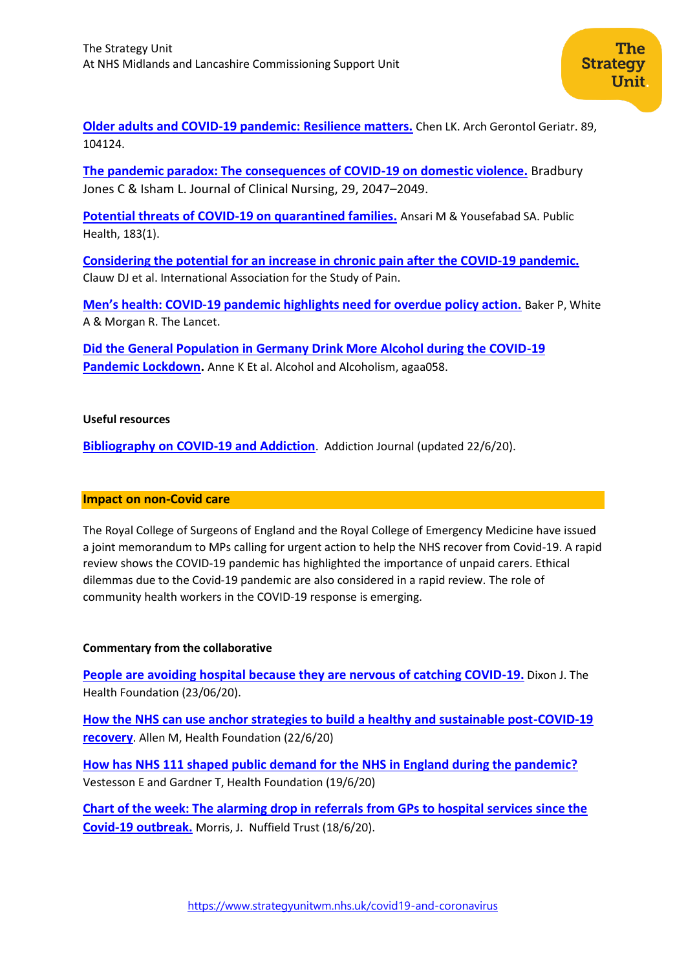**[Older adults and COVID-19 pandemic: Resilience matters.](https://www.ncbi.nlm.nih.gov/pmc/articles/PMC7247489/)** Chen LK. Arch Gerontol Geriatr. 89, 104124.

**[The pandemic paradox: The consequences of COVID-19 on domestic violence.](https://onlinelibrary.wiley.com/doi/pdfdirect/10.1111/jocn.15296)** Bradbury Jones C & Isham L. Journal of Clinical Nursing, 29, 2047–2049.

**[Potential threats of COVID-19 on quarantined families.](https://www.ncbi.nlm.nih.gov/pmc/articles/PMC7172715/)** Ansari M & Yousefabad SA. Public Health, 183(1).

**[Considering the potential for an increase in chronic pain after](https://www.ncbi.nlm.nih.gov/pmc/articles/PMC7302093/pdf/jop-publish-ahead-of-print-10.1097.j.pain.0000000000001950.pdf) the COVID-19 pandemic.** Clauw DJ et al. International Association for the Study of Pain.

**Men's health: COVID[-19 pandemic highlights need for overdue policy action.](https://www.thelancet.com/pdfs/journals/lancet/PIIS0140-6736(20)31303-9.pdf)** Baker P, White A & Morgan R. The Lancet.

**[Did the General Population in Germany Drink More Alcohol during the COVID-19](https://academic.oup.com/alcalc/advance-article/doi/10.1093/alcalc/agaa058/5859749)**  [Pandemic Lockdown.](https://academic.oup.com/alcalc/advance-article/doi/10.1093/alcalc/agaa058/5859749) Anne K Et al. Alcohol and Alcoholism, agaa058.

#### **Useful resources**

**[Bibliography on COVID-19 and Addiction](https://www.addictionjournal.org/files/download/documents/22%20June%20Covid-19%20bibliography.docx)**. Addiction Journal (updated 22/6/20).

# **Impact on non-Covid care**

The Royal College of Surgeons of England and the Royal College of Emergency Medicine have issued a joint memorandum to MPs calling for urgent action to help the NHS recover from Covid-19. A rapid review shows the COVID-19 pandemic has highlighted the importance of unpaid carers. Ethical dilemmas due to the Covid-19 pandemic are also considered in a rapid review. The role of community health workers in the COVID-19 response is emerging.

# **Commentary from the collaborative**

**[People are avoiding hospital because they are nervous of catching COVID-19.](https://www.health.org.uk/news-and-comment/news/people-are-avoiding-hospital-because-they-are-nervous-of-catching-covid)** Dixon J. The Health Foundation (23/06/20).

**[How the NHS can use anchor strategies to build a healthy and sustainable post-COVID-19](https://www.health.org.uk/news-and-comment/blogs/how-the-nhs-can-use-anchor-strategies-to-build-a-healthy-and-sustainable)  [recovery](https://www.health.org.uk/news-and-comment/blogs/how-the-nhs-can-use-anchor-strategies-to-build-a-healthy-and-sustainable)**. Allen M, Health Foundation (22/6/20)

**[How has NHS 111 shaped public demand for the NHS in England during the pandemic?](https://www.health.org.uk/news-and-comment/charts-and-infographics/how-has-nhs-111-shaped-public-demand-for-the-nhs-in-england)** Vestesson E and Gardner T, Health Foundation (19/6/20)

**[Chart of the week: The alarming drop in referrals from GPs to hospital services since the](https://www.nuffieldtrust.org.uk/resource/new-chart-of-the-week-the-alarming-drop-in-referrals-from-gps-to-hospital-services-since-the-covid-19-outbreak)  [Covid-19 outbreak.](https://www.nuffieldtrust.org.uk/resource/new-chart-of-the-week-the-alarming-drop-in-referrals-from-gps-to-hospital-services-since-the-covid-19-outbreak)** Morris, J. Nuffield Trust (18/6/20).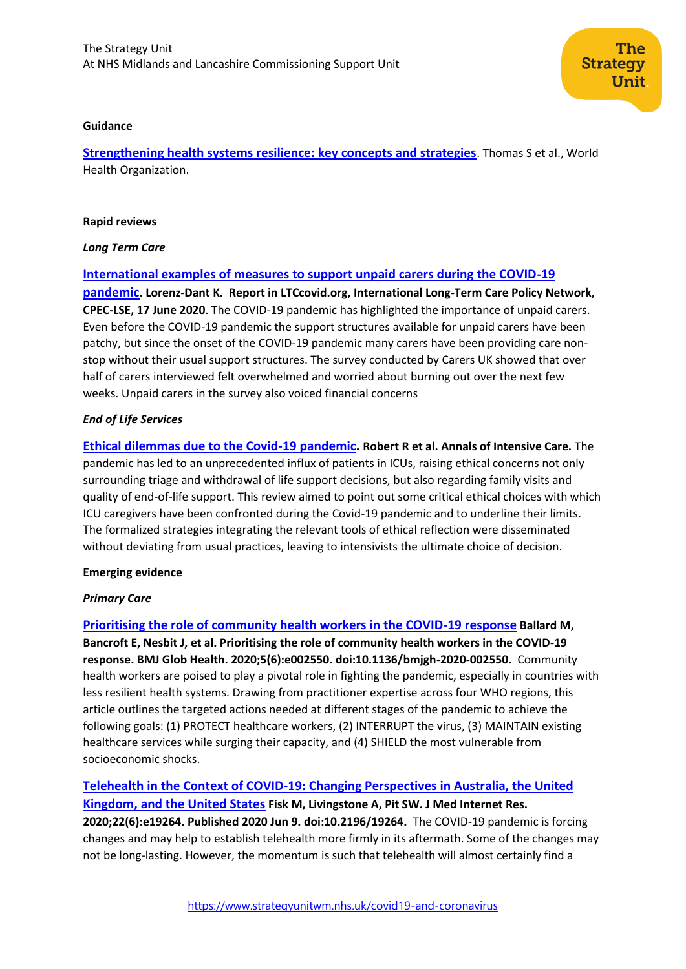

#### **Guidance**

**[Strengthening health systems resilience: key concepts and strategies](https://www.euro.who.int/en/about-us/partners/observatory/publications/policy-briefs-and-summaries/strengthening-health-systems-resilience-key-concepts-and-strategies-2020)**. Thomas S et al., World Health Organization.

#### **Rapid reviews**

#### *Long Term Care*

#### **[International examples of measures to support unpaid carers during the COVID-19](https://ltccovid.org/wp-content/uploads/2020/06/International-measures-to-support-unpaid-carers-in-manage-the-COVID19-situation-17-June.pdf)**

**[pandemic](https://ltccovid.org/wp-content/uploads/2020/06/International-measures-to-support-unpaid-carers-in-manage-the-COVID19-situation-17-June.pdf). Lorenz-Dant K. Report in LTCcovid.org, International Long-Term Care Policy Network, CPEC-LSE, 17 June 2020**. The COVID-19 pandemic has highlighted the importance of unpaid carers. Even before the COVID-19 pandemic the support structures available for unpaid carers have been patchy, but since the onset of the COVID-19 pandemic many carers have been providing care nonstop without their usual support structures. The survey conducted by Carers UK showed that over half of carers interviewed felt overwhelmed and worried about burning out over the next few weeks. Unpaid carers in the survey also voiced financial concerns

#### *End of Life Services*

**[Ethical dilemmas due to the Covid-19 pandemic.](https://link.springer.com/article/10.1186/s13613-020-00702-7) Robert R et al. Annals of Intensive Care.** The pandemic has led to an unprecedented influx of patients in ICUs, raising ethical concerns not only surrounding triage and withdrawal of life support decisions, but also regarding family visits and quality of end-of-life support. This review aimed to point out some critical ethical choices with which ICU caregivers have been confronted during the Covid-19 pandemic and to underline their limits. The formalized strategies integrating the relevant tools of ethical reflection were disseminated without deviating from usual practices, leaving to intensivists the ultimate choice of decision.

#### **Emerging evidence**

#### *Primary Care*

**[Prioritising the role of community health workers in the COVID-19 response](https://gh.bmj.com/content/5/6/e002550.long) Ballard M, Bancroft E, Nesbit J, et al. Prioritising the role of community health workers in the COVID-19 response. BMJ Glob Health. 2020;5(6):e002550. doi:10.1136/bmjgh-2020-002550.** Community health workers are poised to play a pivotal role in fighting the pandemic, especially in countries with less resilient health systems. Drawing from practitioner expertise across four WHO regions, this article outlines the targeted actions needed at different stages of the pandemic to achieve the following goals: (1) PROTECT healthcare workers, (2) INTERRUPT the virus, (3) MAINTAIN existing healthcare services while surging their capacity, and (4) SHIELD the most vulnerable from socioeconomic shocks.

**[Telehealth in the Context of COVID-19: Changing Perspectives in Australia, the United](https://www.jmir.org/2020/6/e19264/)  [Kingdom, and the United States](https://www.jmir.org/2020/6/e19264/) Fisk M, Livingstone A, Pit SW. J Med Internet Res. 2020;22(6):e19264. Published 2020 Jun 9. doi:10.2196/19264.** The COVID-19 pandemic is forcing changes and may help to establish telehealth more firmly in its aftermath. Some of the changes may not be long-lasting. However, the momentum is such that telehealth will almost certainly find a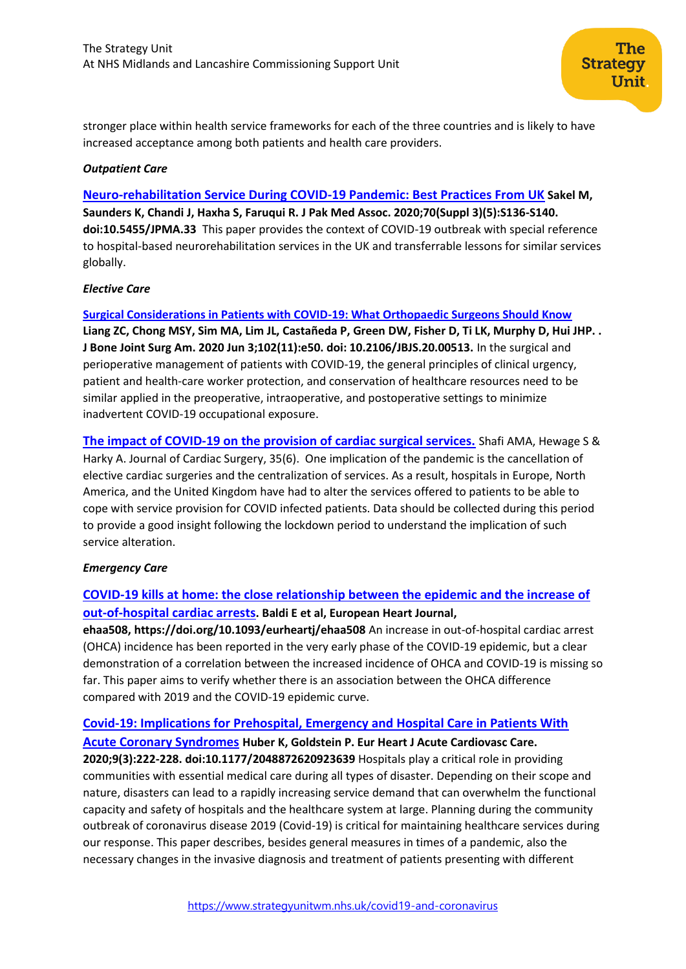stronger place within health service frameworks for each of the three countries and is likely to have increased acceptance among both patients and health care providers.

## *Outpatient Care*

**[Neuro-rehabilitation Service During COVID-19 Pandemic: Best Practices From UK](https://www.ejmanager.com/mnstemps/33/33-1589041766.pdf?t=1592913879) Sakel M, Saunders K, Chandi J, Haxha S, Faruqui R. J Pak Med Assoc. 2020;70(Suppl 3)(5):S136-S140. doi:10.5455/JPMA.33** This paper provides the context of COVID-19 outbreak with special reference to hospital-based neurorehabilitation services in the UK and transferrable lessons for similar services globally.

## *Elective Care*

## **[Surgical Considerations in Patients with COVID-19: What Orthopaedic Surgeons Should Know](https://www.ncbi.nlm.nih.gov/pmc/articles/PMC7219827/)**

**Liang ZC, Chong MSY, Sim MA, Lim JL, Castañeda P, Green DW, Fisher D, Ti LK, Murphy D, Hui JHP. . J Bone Joint Surg Am. 2020 Jun 3;102(11):e50. doi: 10.2106/JBJS.20.00513.** In the surgical and perioperative management of patients with COVID-19, the general principles of clinical urgency, patient and health-care worker protection, and conservation of healthcare resources need to be similar applied in the preoperative, intraoperative, and postoperative settings to minimize inadvertent COVID-19 occupational exposure.

# **[The impact of COVID‐19 on the provision of cardiac surgical services.](https://onlinelibrary.wiley.com/doi/10.1111/jocs.14631)** Shafi AMA, Hewage S & Harky A. Journal of Cardiac Surgery, 35(6). One implication of the pandemic is the cancellation of elective cardiac surgeries and the centralization of services. As a result, hospitals in Europe, North

America, and the United Kingdom have had to alter the services offered to patients to be able to cope with service provision for COVID infected patients. Data should be collected during this period to provide a good insight following the lockdown period to understand the implication of such service alteration.

#### *Emergency Care*

# **[COVID-19 kills at home: the close relationship between the epidemic and the increase of](https://academic.oup.com/eurheartj/article/doi/10.1093/eurheartj/ehaa508/5860258)  [out-of-hospital cardiac arrests](https://academic.oup.com/eurheartj/article/doi/10.1093/eurheartj/ehaa508/5860258). Baldi E et al, European Heart Journal,**

**ehaa508, <https://doi.org/10.1093/eurheartj/ehaa508>** An increase in out-of-hospital cardiac arrest (OHCA) incidence has been reported in the very early phase of the COVID-19 epidemic, but a clear demonstration of a correlation between the increased incidence of OHCA and COVID-19 is missing so far. This paper aims to verify whether there is an association between the OHCA difference compared with 2019 and the COVID-19 epidemic curve.

# **[Covid-19: Implications for Prehospital, Emergency and Hospital Care in Patients With](https://journals.sagepub.com/doi/full/10.1177/2048872620923639?url_ver=Z39.88-2003&rfr_id=ori:rid:crossref.org&rfr_dat=cr_pub%20%200pubmed)**

**[Acute Coronary Syndromes](https://journals.sagepub.com/doi/full/10.1177/2048872620923639?url_ver=Z39.88-2003&rfr_id=ori:rid:crossref.org&rfr_dat=cr_pub%20%200pubmed) Huber K, Goldstein P. Eur Heart J Acute Cardiovasc Care. 2020;9(3):222-228. doi:10.1177/2048872620923639** Hospitals play a critical role in providing communities with essential medical care during all types of disaster. Depending on their scope and nature, disasters can lead to a rapidly increasing service demand that can overwhelm the functional capacity and safety of hospitals and the healthcare system at large. Planning during the community outbreak of coronavirus disease 2019 (Covid-19) is critical for maintaining healthcare services during our response. This paper describes, besides general measures in times of a pandemic, also the necessary changes in the invasive diagnosis and treatment of patients presenting with different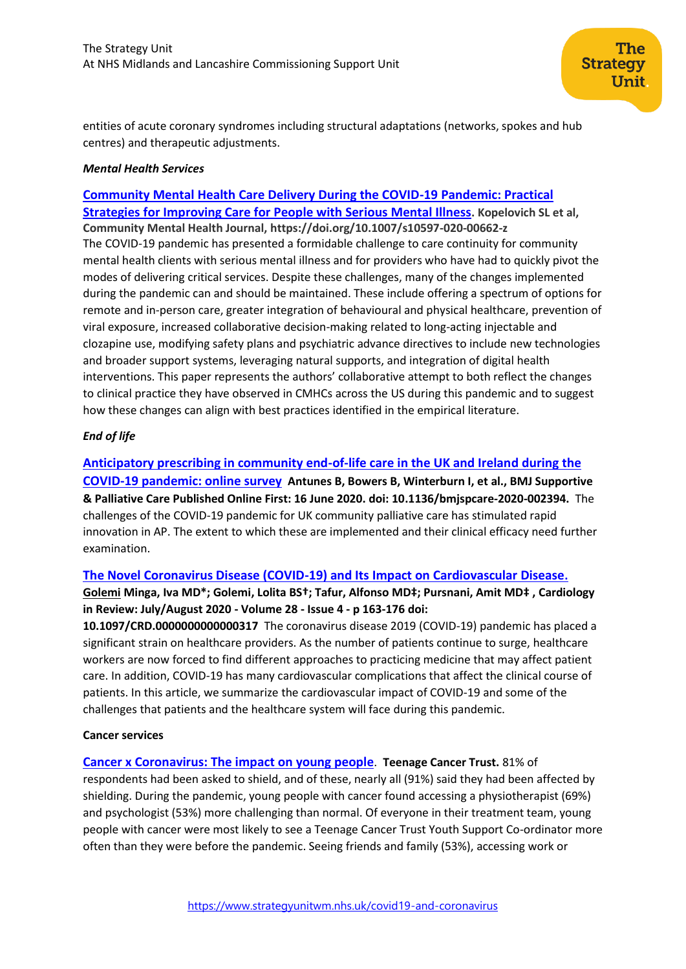entities of acute coronary syndromes including structural adaptations (networks, spokes and hub centres) and therapeutic adjustments.

### *Mental Health Services*

**[Community Mental Health Care Delivery During the COVID-19 Pandemic: Practical](https://link.springer.com/article/10.1007/s10597-020-00662-z)  [Strategies for Improving Care for People with Serious Mental Illness](https://link.springer.com/article/10.1007/s10597-020-00662-z). Kopelovich SL et al, Community Mental Health Journal, https://doi.org/10.1007/s10597-020-00662-z** The COVID-19 pandemic has presented a formidable challenge to care continuity for community mental health clients with serious mental illness and for providers who have had to quickly pivot the modes of delivering critical services. Despite these challenges, many of the changes implemented during the pandemic can and should be maintained. These include offering a spectrum of options for remote and in-person care, greater integration of behavioural and physical healthcare, prevention of viral exposure, increased collaborative decision-making related to long-acting injectable and clozapine use, modifying safety plans and psychiatric advance directives to include new technologies and broader support systems, leveraging natural supports, and integration of digital health interventions. This paper represents the authors' collaborative attempt to both reflect the changes to clinical practice they have observed in CMHCs across the US during this pandemic and to suggest how these changes can align with best practices identified in the empirical literature.

## *End of life*

# **[Anticipatory prescribing in community end-of-life care in the UK and Ireland during the](https://spcare.bmj.com/content/early/2020/06/15/bmjspcare-2020-002394)**

**[COVID-19 pandemic: online survey](https://spcare.bmj.com/content/early/2020/06/15/bmjspcare-2020-002394) Antunes B, Bowers B, Winterburn I, et al., BMJ Supportive & Palliative Care Published Online First: 16 June 2020. doi: 10.1136/bmjspcare-2020-002394.** The challenges of the COVID-19 pandemic for UK community palliative care has stimulated rapid innovation in AP. The extent to which these are implemented and their clinical efficacy need further examination.

#### **[The Novel Coronavirus Disease \(COVID-19\) and Its Impact on Cardiovascular Disease](https://journals.lww.com/cardiologyinreview/Abstract/2020/07000/The_Novel_Coronavirus_Disease__COVID_19__and_Its.2.aspx).**

**[Golemi](https://journals.lww.com/cardiologyinreview/Abstract/2020/07000/The_Novel_Coronavirus_Disease__COVID_19__and_Its.2.aspx) Minga, Iva MD\*; Golemi, Lolita BS†; Tafur, Alfonso MD‡; Pursnani, Amit MD‡ , Cardiology in Review: July/August 2020 - Volume 28 - Issue 4 - p 163-176 doi:** 

**10.1097/CRD.0000000000000317** The coronavirus disease 2019 (COVID-19) pandemic has placed a significant strain on healthcare providers. As the number of patients continue to surge, healthcare workers are now forced to find different approaches to practicing medicine that may affect patient care. In addition, COVID-19 has many cardiovascular complications that affect the clinical course of patients. In this article, we summarize the cardiovascular impact of COVID-19 and some of the challenges that patients and the healthcare system will face during this pandemic.

#### **Cancer services**

**[Cancer x Coronavirus: The impact on young people](https://www.teenagecancertrust.org/sites/default/files/Cancer-coronavirus-report-June-2020-Teenage-Cancer-Trust.pdf)**. **Teenage Cancer Trust.** 81% of respondents had been asked to shield, and of these, nearly all (91%) said they had been affected by shielding. During the pandemic, young people with cancer found accessing a physiotherapist (69%) and psychologist (53%) more challenging than normal. Of everyone in their treatment team, young people with cancer were most likely to see a Teenage Cancer Trust Youth Support Co-ordinator more often than they were before the pandemic. Seeing friends and family (53%), accessing work or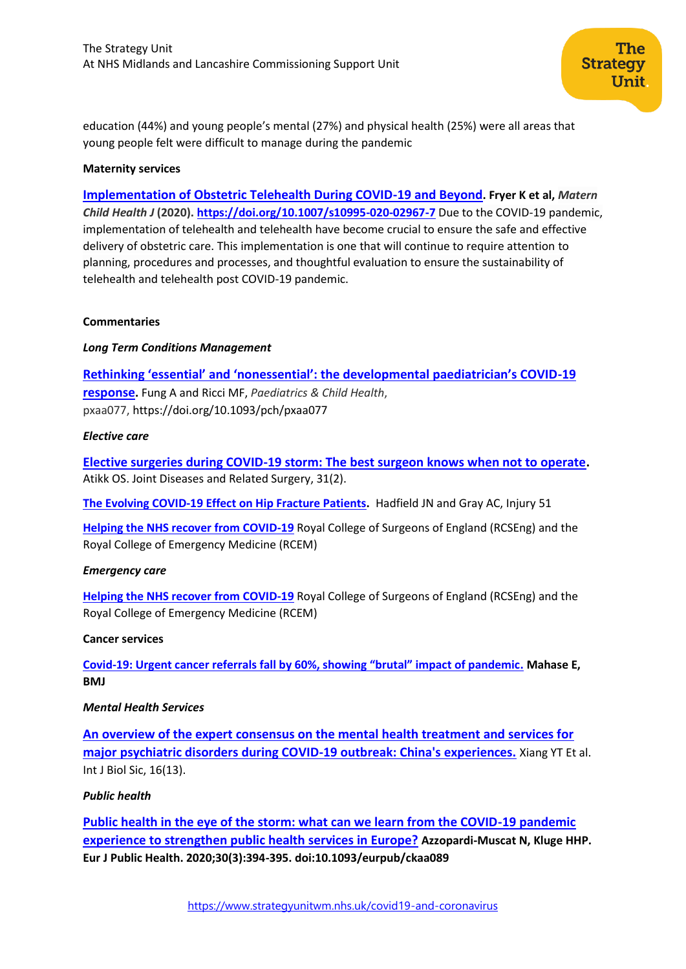education (44%) and young people's mental (27%) and physical health (25%) were all areas that young people felt were difficult to manage during the pandemic

The

Unit.

**Strategy** 

#### **Maternity services**

**[Implementation of Obstetric Telehealth During COVID-19 and Beyond](https://link.springer.com/article/10.1007/s10995-020-02967-7). Fryer K et al,** *Matern Child Health J* **(2020).<https://doi.org/10.1007/s10995-020-02967-7>** Due to the COVID-19 pandemic, implementation of telehealth and telehealth have become crucial to ensure the safe and effective delivery of obstetric care. This implementation is one that will continue to require attention to planning, procedures and processes, and thoughtful evaluation to ensure the sustainability of telehealth and telehealth post COVID-19 pandemic.

#### **Commentaries**

#### *Long Term Conditions Management*

**[Rethinking 'essential' and 'nonessential': the developmental paediatrician's COVID](https://academic.oup.com/pch/article/doi/10.1093/pch/pxaa077/5860272)-19 [response](https://academic.oup.com/pch/article/doi/10.1093/pch/pxaa077/5860272).** Fung A and Ricci MF, *Paediatrics & Child Health*, pxaa077, https://doi.org/10.1093/pch/pxaa077

#### *Elective care*

**[Elective surgeries during COVID-19 storm: The best surgeon knows when not to operate.](https://www.tevak.org/full-text/1110)** Atikk OS. Joint Diseases and Related Surgery, 31(2).

**The Evolving [COVID-19 Effect on Hip Fracture Patients.](https://www.injuryjournal.com/article/S0020-1383(20)30490-3/pdf)** Hadfield JN and Gray AC, Injury 51

**[Helping the NHS recover from COVID-19](https://www.rcseng.ac.uk/-/media/files/rcs/coronavirus/joint-memorandum-commons-hsc-committee.pdf)** Royal College of Surgeons of England (RCSEng) and the Royal College of Emergency Medicine (RCEM)

#### *Emergency care*

**[Helping the NHS recover from COVID-19](https://www.rcseng.ac.uk/-/media/files/rcs/coronavirus/joint-memorandum-commons-hsc-committee.pdf)** Royal College of Surgeons of England (RCSEng) and the Royal College of Emergency Medicine (RCEM)

#### **Cancer services**

**Covid-[19: Urgent cancer referrals fall by 60%, showing "brutal" impact of pandemic](https://www.bmj.com/content/369/bmj.m2386). Mahase E, BMJ**

#### *Mental Health Services*

**[An overview of the expert consensus on the mental health treatment and services for](https://www.ijbs.com/v16p2265.htm)  [major psychiatric disorders during COVID-19 outbreak: China's experiences.](https://www.ijbs.com/v16p2265.htm)** Xiang YT Et al. Int J Biol Sic, 16(13).

#### *Public health*

**[Public health in the eye of the storm: what can we learn from the COVID-19 pandemic](https://academic.oup.com/eurpub/article/30/3/394/5856674)  [experience to strengthen public health services in Europe?](https://academic.oup.com/eurpub/article/30/3/394/5856674) Azzopardi-Muscat N, Kluge HHP. Eur J Public Health. 2020;30(3):394-395. doi:10.1093/eurpub/ckaa089**